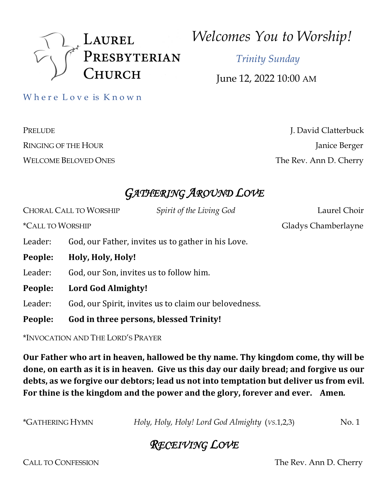

*Welcomes You to Worship!*

 *Trinity Sunday*

June 12, 2022 10:00 AM

Where Love is Known

PRELUDE J. David Clatterbuck RINGING OF THE HOUR Janice Berger WELCOME BELOVED ONES The Rev. Ann D. Cherry

# *GATHERING AROUND LOVE*

|                                | <b>CHORAL CALL TO WORSHIP</b>                      | Spirit of the Living God                              | Laurel Choir        |
|--------------------------------|----------------------------------------------------|-------------------------------------------------------|---------------------|
| <i><b>*CALL TO WORSHIP</b></i> |                                                    |                                                       | Gladys Chamberlayne |
| Leader:                        | God, our Father, invites us to gather in his Love. |                                                       |                     |
| People:                        | Holy, Holy, Holy!                                  |                                                       |                     |
| Leader:                        | God, our Son, invites us to follow him.            |                                                       |                     |
| People:                        | Lord God Almighty!                                 |                                                       |                     |
| Leader:                        |                                                    | God, our Spirit, invites us to claim our belovedness. |                     |
| People:                        | God in three persons, blessed Trinity!             |                                                       |                     |

\*INVOCATION AND THE LORD'S PRAYER

Our Father who art in heaven, hallowed be thy name. Thy kingdom come, thy will be done, on earth as it is in heaven. Give us this day our daily bread; and forgive us our debts, as we forgive our debtors; lead us not into temptation but deliver us from evil. For thine is the kingdom and the power and the glory, forever and ever. Amen.

\*GATHERING HYMN *Holy, Holy, Holy! Lord God Almighty* (*VS*.1,2,3) No. 1

# *RECEIVING LOVE*

CALL TO CONFESSION The Rev. Ann D. Cherry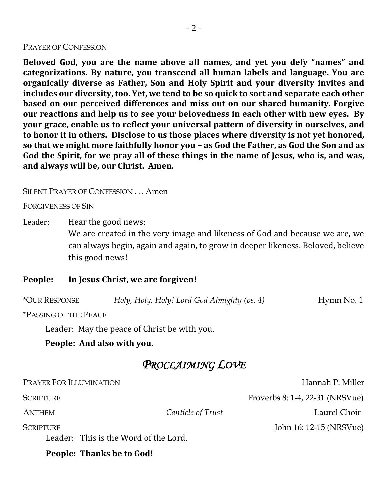#### PRAYER OF CONFESSION

**Beloved God, you are the name above all names, and yet you defy "names" and categorizations. By nature, you transcend all human labels and language. You are**  organically diverse as Father, Son and Holy Spirit and your diversity invites and **includes our diversity, too. Yet, we tend to be so quick to sort and separate each other based on our perceived differences and miss out on our shared humanity. Forgive our reactions and help us to see your belovedness in each other with new eyes. By your grace, enable us to reflect your universal pattern of diversity in ourselves, and** to honor it in others. Disclose to us those places where diversity is not yet honored, so that we might more faithfully honor you - as God the Father, as God the Son and as God the Spirit, for we pray all of these things in the name of Jesus, who is, and was, and always will be, our Christ. Amen.

SILENT PRAYER OF CONFESSION . . . Amen

FORGIVENESS OF SIN

Leader: Hear the good news:

We are created in the very image and likeness of God and because we are, we can always begin, again and again, to grow in deeper likeness. Beloved, believe this good news!

### People: In Jesus Christ, we are forgiven!

\*OUR RESPONSE *Holy, Holy, Holy! Lord God Almighty (vs. 4)* Hymn No. 1

\*PASSING OF THE PEACE

Leader: May the peace of Christ be with you.

People: And also with you.

### *PROCLAIMING LOVE*

| Hannah P. Miller                |
|---------------------------------|
| Proverbs 8: 1-4, 22-31 (NRSVue) |
| Laurel Choir                    |
| John 16: 12-15 (NRSVue)         |
|                                 |
|                                 |

People: Thanks be to God!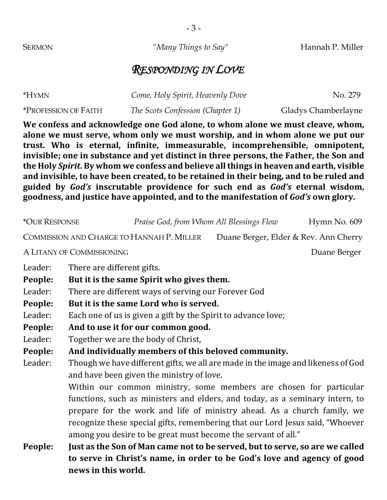#### **SERMON** *"Many Things to Say"* Hannah P. Miller

### *RESPONDING IN LOVE*

| *HYMN                              | Come, Holy Spirit, Heavenly Dove | No. 279             |
|------------------------------------|----------------------------------|---------------------|
| <i><b>*PROFESSION OF FAITH</b></i> | The Scots Confession (Chapter 1) | Gladys Chamberlayne |

We confess and acknowledge one God alone, to whom alone we must cleave, whom, alone we must serve, whom only we must worship, and in whom alone we put our trust. Who is eternal, infinite, immeasurable, incomprehensible, omnipotent, invisible; one in substance and yet distinct in three persons, the Father, the Son and the Holy Spirit. By whom we confess and believe all things in heaven and earth, visible and invisible, to have been created, to be retained in their being, and to be ruled and **guided by**  *God's* **inscrutable providence for such end as**  *God's* **eternal wisdom,**  goodness, and justice have appointed, and to the manifestation of *God's* own glory.

\*OUR RESPONSE *Praise God, from Whom All Blessings Flow* Hymn No. 609 COMMISSION AND CHARGE TO HANNAH P. MILLER Duane Berger, Elder & Rev. Ann Cherry A LITANY OF COMMISSIONING DUANE BERGER DUANE BERGER Leader: There are different gifts. People: But it is the same Spirit who gives them. Leader: There are different ways of serving our Forever God People: But it is the same Lord who is served. Leader: Each one of us is given a gift by the Spirit to advance love; People: And to use it for our common good. Leader: Together we are the body of Christ, People: And individually members of this beloved community. Leader: Though we have different gifts, we all are made in the image and likeness of God and have been given the ministry of love. Within our common ministry, some members are chosen for particular functions, such as ministers and elders, and today, as a seminary intern, to prepare for the work and life of ministry ahead. As a church family, we recognize these special gifts, remembering that our Lord Jesus said, "Whoever among you desire to be great must become the servant of all." **People:** Just as the Son of Man came not to be served, but to serve, so are we called to serve in Christ's name, in order to be God's love and agency of good

**news in this world.**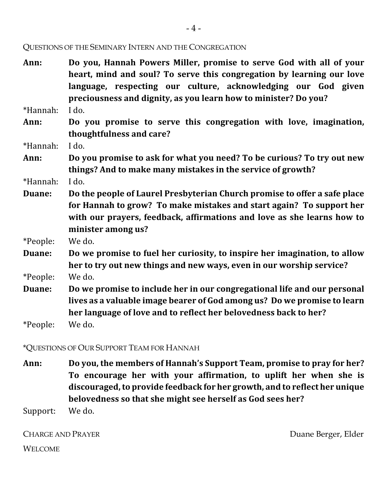QUESTIONS OF THE SEMINARY INTERN AND THE CONGREGATION

Ann: Do you, Hannah Powers Miller, promise to serve God with all of your heart, mind and soul? To serve this congregation by learning our love language, respecting our culture, acknowledging our God given preciousness and dignity, as you learn how to minister? Do you?

\*Hannah: I do.

Ann: Do you promise to serve this congregation with love, imagination, **thoughtfulness and care?**

\*Hannah: I do.

Ann: Do you promise to ask for what you need? To be curious? To try out new **things?** And to make many mistakes in the service of growth?

\*Hannah: I do.

**Duane:** Do the people of Laurel Presbyterian Church promise to offer a safe place for Hannah to grow? To make mistakes and start again? To support her with our prayers, feedback, affirmations and love as she learns how to minister among us?

\*People: We do.

- **Duane:** Do we promise to fuel her curiosity, to inspire her imagination, to allow her to try out new things and new ways, even in our worship service? \*People: We do.
- **Duane:** Do we promise to include her in our congregational life and our personal lives as a valuable image bearer of God among us? Do we promise to learn her language of love and to reflect her belovedness back to her?

\*People: We do.

\*QUESTIONS OF OUR SUPPORT TEAM FOR HANNAH

Ann: Do you, the members of Hannah's Support Team, promise to pray for her? To encourage her with your affirmation, to uplift her when she is discouraged, to provide feedback for her growth, and to reflect her unique **belovedness so that she might see herself as God sees her?** 

Support: We do.

CHARGE AND PRAYER DUANE BERGER DUANE BERGER, Elder WELCOME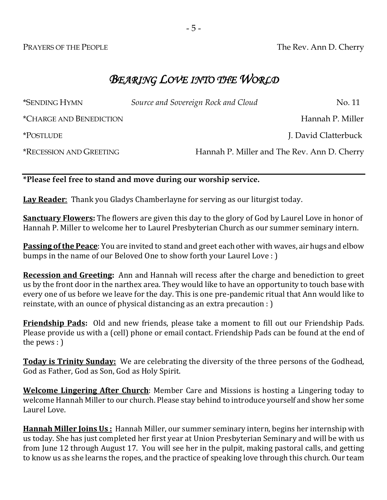PRAYERS OF THE PEOPLE The Rev. Ann D. Cherry

# *BEARING LOVE INTO THE WORLD*

| <i><b>*SENDING HYMN</b></i>           | Source and Sovereign Rock and Cloud | No. 11                                      |
|---------------------------------------|-------------------------------------|---------------------------------------------|
| <i><b>*CHARGE AND BENEDICTION</b></i> |                                     | Hannah P. Miller                            |
| <i>*POSTLUDE</i>                      |                                     | J. David Clatterbuck                        |
| <b>*RECESSION AND GREETING</b>        |                                     | Hannah P. Miller and The Rev. Ann D. Cherry |

### **\*Please feel free to stand and move during our worship service.**

**Lay Reader**: Thank you Gladys Chamberlayne for serving as our liturgist today.

**Sanctuary Flowers:** The flowers are given this day to the glory of God by Laurel Love in honor of Hannah P. Miller to welcome her to Laurel Presbyterian Church as our summer seminary intern.

**Passing of the Peace**: You are invited to stand and greet each other with waves, air hugs and elbow bumps in the name of our Beloved One to show forth your Laurel Love : )

**Recession and Greeting:** Ann and Hannah will recess after the charge and benediction to greet us by the front door in the narthex area. They would like to have an opportunity to touch base with every one of us before we leave for the day. This is one pre-pandemic ritual that Ann would like to reinstate, with an ounce of physical distancing as an extra precaution : )

**Friendship Pads:** Old and new friends, please take a moment to fill out our Friendship Pads. Please provide us with a (cell) phone or email contact. Friendship Pads can be found at the end of the pews  $:$   $)$ 

**Today is Trinity Sunday:** We are celebrating the diversity of the three persons of the Godhead, God as Father, God as Son, God as Holy Spirit.

**Welcome Lingering After Church**: Member Care and Missions is hosting a Lingering today to welcome Hannah Miller to our church. Please stay behind to introduce yourself and show her some Laurel Love.

**Hannah Miller Joins Us**: Hannah Miller, our summer seminary intern, begins her internship with us today. She has just completed her first year at Union Presbyterian Seminary and will be with us from June 12 through August 17. You will see her in the pulpit, making pastoral calls, and getting to know us as she learns the ropes, and the practice of speaking love through this church. Our team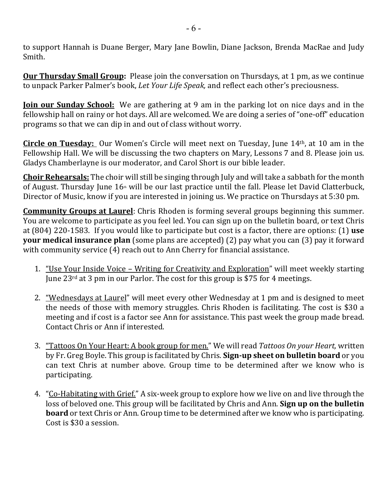to support Hannah is Duane Berger, Mary Jane Bowlin, Diane Jackson, Brenda MacRae and Judy Smith.

**Our Thursday Small Group:** Please join the conversation on Thursdays, at 1 pm, as we continue to unpack Parker Palmer's book, *Let Your Life Speak*, and reflect each other's preciousness.

**Join our Sunday School:** We are gathering at 9 am in the parking lot on nice days and in the fellowship hall on rainy or hot days. All are welcomed. We are doing a series of "one-off" education programs so that we can dip in and out of class without worry.

**Circle on Tuesday:** Our Women's Circle will meet next on Tuesday, June 14<sup>th</sup>, at 10 am in the Fellowship Hall. We will be discussing the two chapters on Mary, Lessons 7 and 8. Please join us. Gladys Chamberlayne is our moderator, and Carol Short is our bible leader.

**Choir Rehearsals:** The choir will still be singing through July and will take a sabbath for the month of August. Thursday June  $16$ <sup>th</sup> will be our last practice until the fall. Please let David Clatterbuck, Director of Music, know if you are interested in joining us. We practice on Thursdays at 5:30 pm.

**Community Groups at Laurel**: Chris Rhoden is forming several groups beginning this summer. You are welcome to participate as you feel led. You can sign up on the bulletin board, or text Chris at (804) 220-1583. If you would like to participate but cost is a factor, there are options: (1) use **your medical insurance plan** (some plans are accepted) (2) pay what you can (3) pay it forward with community service  $(4)$  reach out to Ann Cherry for financial assistance.

- 1. "Use Your Inside Voice Writing for Creativity and Exploration" will meet weekly starting June  $23^{\text{rd}}$  at 3 pm in our Parlor. The cost for this group is \$75 for 4 meetings.
- 2. "Wednesdays at Laurel" will meet every other Wednesday at 1 pm and is designed to meet the needs of those with memory struggles. Chris Rhoden is facilitating. The cost is \$30 a meeting and if cost is a factor see Ann for assistance. This past week the group made bread. Contact Chris or Ann if interested.
- 3. "Tattoos On Your Heart: A book group for men." We will read *Tattoos On your Heart,* written by Fr. Greg Boyle. This group is facilitated by Chris. **Sign-up sheet on bulletin board** or you can text Chris at number above. Group time to be determined after we know who is participating.
- 4. "Co-Habitating with Grief." A six-week group to explore how we live on and live through the loss of beloved one. This group will be facilitated by Chris and Ann. **Sign up on the bulletin board** or text Chris or Ann. Group time to be determined after we know who is participating. Cost is \$30 a session.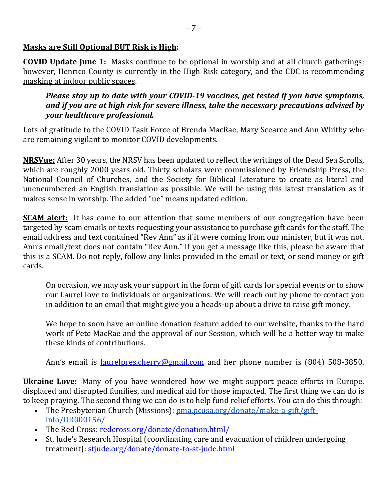### **Masks are Still Optional BUT Risk is High:**

**COVID Update June 1:** Masks continue to be optional in worship and at all church gatherings; however, Henrico County is currently in the High Risk category, and the CDC is recommending masking at indoor public spaces.

*Please stay up to date with your COVID-19 vaccines, get tested if you have symptoms,* and if you are at high risk for severe illness, take the necessary precautions advised by *your healthcare professional.*

Lots of gratitude to the COVID Task Force of Brenda MacRae, Mary Scearce and Ann Whitby who are remaining vigilant to monitor COVID developments.

**NRSVue:** After 30 years, the NRSV has been updated to reflect the writings of the Dead Sea Scrolls, which are roughly 2000 years old. Thirty scholars were commissioned by Friendship Press, the National Council of Churches, and the Society for Biblical Literature to create as literal and unencumbered an English translation as possible. We will be using this latest translation as it makes sense in worship. The added "ue" means updated edition.

**SCAM** alert: It has come to our attention that some members of our congregation have been targeted by scam emails or texts requesting your assistance to purchase gift cards for the staff. The email address and text contained "Rev Ann" as if it were coming from our minister, but it was not. Ann's email/text does not contain "Rev Ann." If you get a message like this, please be aware that this is a SCAM. Do not reply, follow any links provided in the email or text, or send money or gift cards.

On occasion, we may ask your support in the form of gift cards for special events or to show our Laurel love to individuals or organizations. We will reach out by phone to contact you in addition to an email that might give you a heads-up about a drive to raise gift money.

We hope to soon have an online donation feature added to our website, thanks to the hard work of Pete MacRae and the approval of our Session, which will be a better way to make these kinds of contributions.

Ann's email is <u>laurelpres.cherry@gmail.com</u> and her phone number is (804) 508-3850.

**Ukraine Love:** Many of you have wondered how we might support peace efforts in Europe, displaced and disrupted families, and medical aid for those impacted. The first thing we can do is to keep praying. The second thing we can do is to help fund relief efforts. You can do this through:

- The Presbyterian Church (Missions): pma.pcusa.org/donate/make-a-gift/giftinfo/DR000156/
- The Red Cross: redcross.org/donate/donation.html/
- St. Jude's Research Hospital (coordinating care and evacuation of children undergoing treatment): stjude.org/donate/donate-to-st-jude.html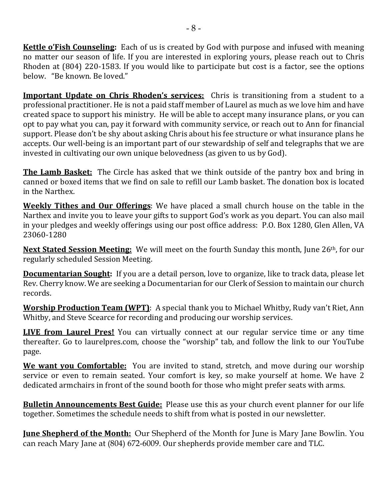**Kettle o'Fish Counseling:** Each of us is created by God with purpose and infused with meaning no matter our season of life. If you are interested in exploring yours, please reach out to Chris Rhoden at  $(804)$  220-1583. If you would like to participate but cost is a factor, see the options below. "Be known. Be loved."

**Important Update on Chris Rhoden's services:** Chris is transitioning from a student to a professional practitioner. He is not a paid staff member of Laurel as much as we love him and have created space to support his ministry. He will be able to accept many insurance plans, or you can opt to pay what you can, pay it forward with community service, or reach out to Ann for financial support. Please don't be shy about asking Chris about his fee structure or what insurance plans he accepts. Our well-being is an important part of our stewardship of self and telegraphs that we are invested in cultivating our own unique belovedness (as given to us by God).

**The Lamb Basket:** The Circle has asked that we think outside of the pantry box and bring in canned or boxed items that we find on sale to refill our Lamb basket. The donation box is located in the Narthex.

**Weekly Tithes and Our Offerings**: We have placed a small church house on the table in the Narthex and invite you to leave your gifts to support God's work as you depart. You can also mail in your pledges and weekly offerings using our post office address: P.O. Box 1280, Glen Allen, VA 23060-1280

**Next Stated Session Meeting:** We will meet on the fourth Sunday this month, June 26<sup>th</sup>, for our regularly scheduled Session Meeting.

**Documentarian Sought:** If you are a detail person, love to organize, like to track data, please let Rev. Cherry know. We are seeking a Documentarian for our Clerk of Session to maintain our church records. 

**Worship Production Team (WPT)**: A special thank you to Michael Whitby, Rudy van't Riet, Ann Whitby, and Steve Scearce for recording and producing our worship services.

**LIVE from Laurel Pres!** You can virtually connect at our regular service time or any time thereafter. Go to laurelpres.com, choose the "worship" tab, and follow the link to our YouTube page.

**We want you Comfortable:** You are invited to stand, stretch, and move during our worship service or even to remain seated. Your comfort is key, so make yourself at home. We have 2 dedicated armchairs in front of the sound booth for those who might prefer seats with arms.

**Bulletin Announcements Best Guide:** Please use this as your church event planner for our life together. Sometimes the schedule needs to shift from what is posted in our newsletter.

**June Shepherd of the Month:** Our Shepherd of the Month for June is Mary Jane Bowlin. You can reach Mary Jane at (804) 672-6009. Our shepherds provide member care and TLC.